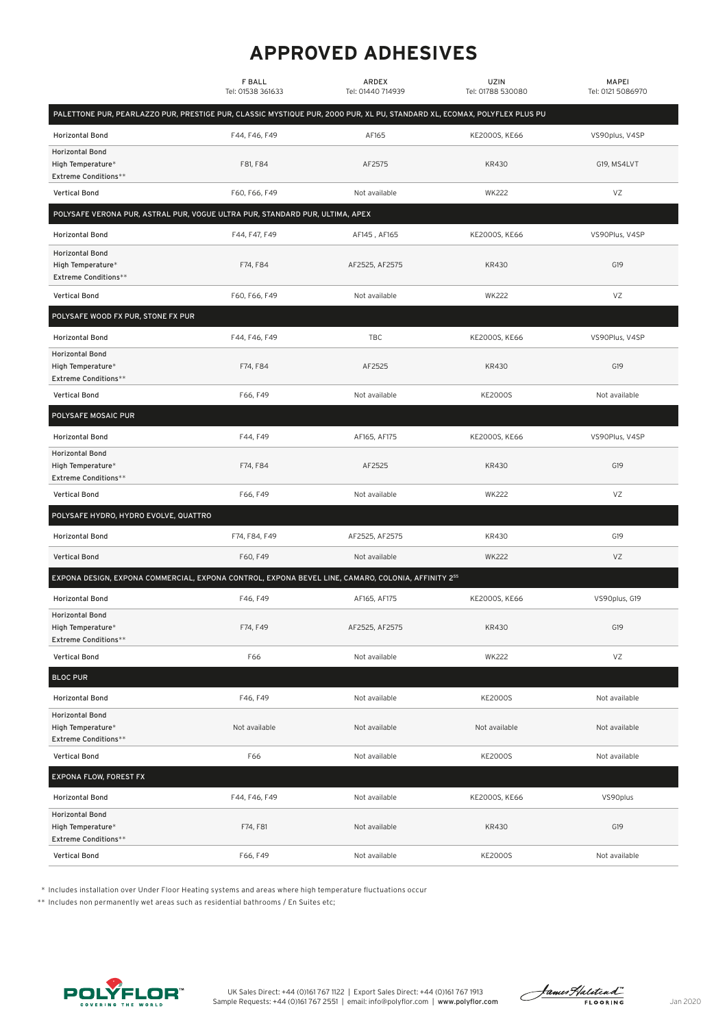## **APPROVED ADHESIVES**

|                                                                                                                          | <b>F BALL</b><br>Tel: 01538 361633 | ARDEX<br>Tel: 01440 714939 | UZIN<br>Tel: 01788 530080 | <b>MAPEI</b><br>Tel: 0121 5086970 |
|--------------------------------------------------------------------------------------------------------------------------|------------------------------------|----------------------------|---------------------------|-----------------------------------|
| PALETTONE PUR, PEARLAZZO PUR, PRESTIGE PUR, CLASSIC MYSTIQUE PUR, 2000 PUR, XL PU, STANDARD XL, ECOMAX, POLYFLEX PLUS PU |                                    |                            |                           |                                   |
| <b>Horizontal Bond</b>                                                                                                   | F44, F46, F49                      | AF165                      | KE2000S, KE66             | VS90plus, V4SP                    |
| <b>Horizontal Bond</b><br>High Temperature*<br><b>Extreme Conditions**</b>                                               | F81, F84                           | AF2575                     | KR430                     | G19, MS4LVT                       |
| Vertical Bond                                                                                                            | F60, F66, F49                      | Not available              | <b>WK222</b>              | VZ                                |
| POLYSAFE VERONA PUR, ASTRAL PUR, VOGUE ULTRA PUR, STANDARD PUR, ULTIMA, APEX                                             |                                    |                            |                           |                                   |
| <b>Horizontal Bond</b>                                                                                                   | F44, F47, F49                      | AF145, AF165               | KE2000S, KE66             | VS90Plus, V4SP                    |
| <b>Horizontal Bond</b><br>High Temperature*<br><b>Extreme Conditions**</b>                                               | F74, F84                           | AF2525, AF2575             | <b>KR430</b>              | G19                               |
| <b>Vertical Bond</b>                                                                                                     | F60, F66, F49                      | Not available              | <b>WK222</b>              | VZ                                |
| POLYSAFE WOOD FX PUR, STONE FX PUR                                                                                       |                                    |                            |                           |                                   |
| <b>Horizontal Bond</b>                                                                                                   | F44, F46, F49                      | TBC                        | KE2000S, KE66             | VS90Plus, V4SP                    |
| <b>Horizontal Bond</b><br>High Temperature*<br><b>Extreme Conditions**</b>                                               | F74, F84                           | AF2525                     | KR430                     | G19                               |
| <b>Vertical Bond</b>                                                                                                     | F66, F49                           | Not available              | <b>KE2000S</b>            | Not available                     |
| POLYSAFE MOSAIC PUR                                                                                                      |                                    |                            |                           |                                   |
| <b>Horizontal Bond</b>                                                                                                   | F44, F49                           | AF165, AF175               | KE2000S, KE66             | VS90Plus, V4SP                    |
| <b>Horizontal Bond</b><br>High Temperature*<br><b>Extreme Conditions**</b>                                               | F74, F84                           | AF2525                     | KR430                     | G19                               |
| Vertical Bond                                                                                                            | F66, F49                           | Not available              | <b>WK222</b>              | VZ                                |
| POLYSAFE HYDRO, HYDRO EVOLVE, QUATTRO                                                                                    |                                    |                            |                           |                                   |
| <b>Horizontal Bond</b>                                                                                                   | F74, F84, F49                      | AF2525, AF2575             | KR430                     | G19                               |
| Vertical Bond                                                                                                            | F60, F49                           | Not available              | <b>WK222</b>              | VZ                                |
| EXPONA DESIGN, EXPONA COMMERCIAL, EXPONA CONTROL, EXPONA BEVEL LINE, CAMARO, COLONIA, AFFINITY 255                       |                                    |                            |                           |                                   |
| <b>Horizontal Bond</b>                                                                                                   | F46, F49                           | AF165, AF175               | KE2000S, KE66             | VS90plus, G19                     |
| <b>Horizontal Bond</b><br>High Temperature*<br><b>Extreme Conditions**</b>                                               | F74, F49                           | AF2525, AF2575             | KR430                     | G19                               |
| <b>Vertical Bond</b>                                                                                                     | F66                                | Not available              | <b>WK222</b>              | VZ                                |
| <b>BLOC PUR</b>                                                                                                          |                                    |                            |                           |                                   |
| <b>Horizontal Bond</b>                                                                                                   | F46, F49                           | Not available              | <b>KE2000S</b>            | Not available                     |
| <b>Horizontal Bond</b><br>High Temperature*<br><b>Extreme Conditions**</b>                                               | Not available                      | Not available              | Not available             | Not available                     |
| Vertical Bond                                                                                                            | F66                                | Not available              | <b>KE2000S</b>            | Not available                     |
| <b>EXPONA FLOW, FOREST FX</b>                                                                                            |                                    |                            |                           |                                   |
| <b>Horizontal Bond</b>                                                                                                   | F44, F46, F49                      | Not available              | KE2000S, KE66             | VS90plus                          |
| <b>Horizontal Bond</b><br>High Temperature*<br><b>Extreme Conditions**</b>                                               | F74, F81                           | Not available              | KR430                     | G19                               |
| Vertical Bond                                                                                                            | F66, F49                           | Not available              | <b>KE2000S</b>            | Not available                     |

\* Includes installation over Under Floor Heating systems and areas where high temperature fluctuations occur

\*\* Includes non permanently wet areas such as residential bathrooms / En Suites etc;



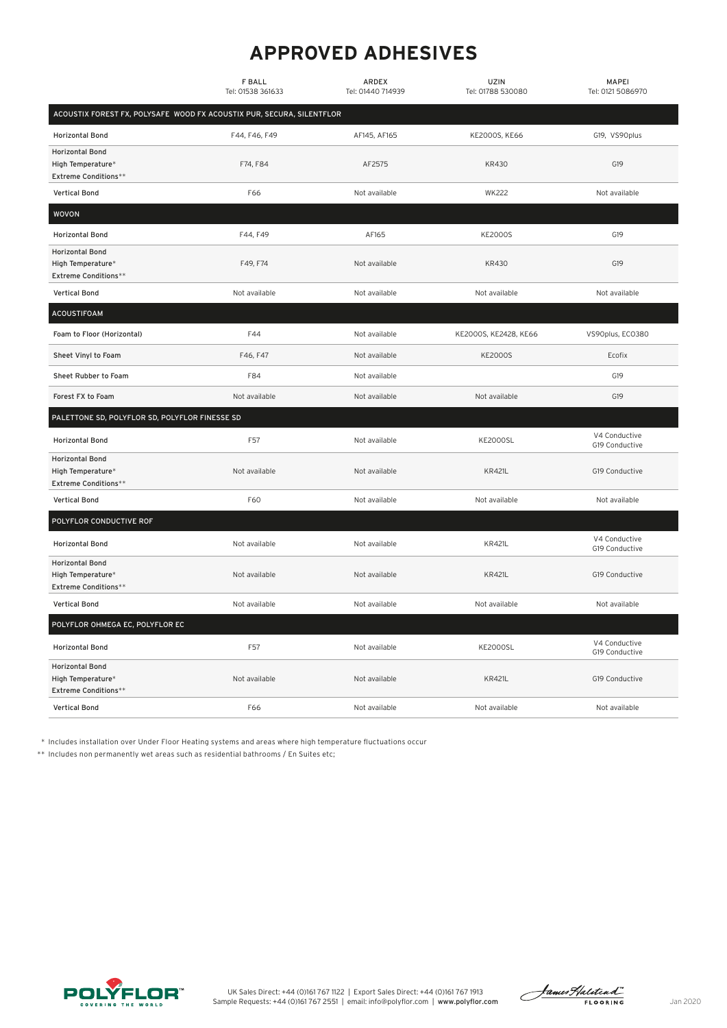## **APPROVED ADHESIVES**

|                                                                            | <b>F BALL</b><br>Tel: 01538 361633 | ARDEX<br>Tel: 01440 714939 | UZIN<br>Tel: 01788 530080 | <b>MAPEI</b><br>Tel: 0121 5086970 |  |  |  |  |
|----------------------------------------------------------------------------|------------------------------------|----------------------------|---------------------------|-----------------------------------|--|--|--|--|
| ACOUSTIX FOREST FX, POLYSAFE WOOD FX ACOUSTIX PUR, SECURA, SILENTFLOR      |                                    |                            |                           |                                   |  |  |  |  |
| <b>Horizontal Bond</b>                                                     | F44, F46, F49                      | AF145, AF165               | KE2000S, KE66             | G19, VS90plus                     |  |  |  |  |
| <b>Horizontal Bond</b><br>High Temperature*<br>Extreme Conditions**        | F74, F84                           | AF2575                     | KR430                     | G19                               |  |  |  |  |
| <b>Vertical Bond</b>                                                       | F66                                | Not available              | <b>WK222</b>              | Not available                     |  |  |  |  |
| <b>WOVON</b>                                                               |                                    |                            |                           |                                   |  |  |  |  |
| <b>Horizontal Bond</b>                                                     | F44, F49                           | AF165                      | <b>KE2000S</b>            | G19                               |  |  |  |  |
| <b>Horizontal Bond</b><br>High Temperature*<br><b>Extreme Conditions**</b> | F49, F74                           | Not available              | <b>KR430</b>              | G19                               |  |  |  |  |
| <b>Vertical Bond</b>                                                       | Not available                      | Not available              | Not available             | Not available                     |  |  |  |  |
| <b>ACOUSTIFOAM</b>                                                         |                                    |                            |                           |                                   |  |  |  |  |
| Foam to Floor (Horizontal)                                                 | F44                                | Not available              | KE2000S, KE2428, KE66     | VS90plus, EC0380                  |  |  |  |  |
| Sheet Vinyl to Foam                                                        | F46, F47                           | Not available              | <b>KE2000S</b>            | Ecofix                            |  |  |  |  |
| Sheet Rubber to Foam                                                       | F84                                | Not available              |                           | G19                               |  |  |  |  |
| Forest FX to Foam                                                          | Not available                      | Not available              | Not available             | G19                               |  |  |  |  |
| PALETTONE SD, POLYFLOR SD, POLYFLOR FINESSE SD                             |                                    |                            |                           |                                   |  |  |  |  |
| <b>Horizontal Bond</b>                                                     | F57                                | Not available              | <b>KE2000SL</b>           | V4 Conductive<br>G19 Conductive   |  |  |  |  |
| <b>Horizontal Bond</b><br>High Temperature*<br><b>Extreme Conditions**</b> | Not available                      | Not available              | <b>KR421L</b>             | G19 Conductive                    |  |  |  |  |
| <b>Vertical Bond</b>                                                       | F60                                | Not available              | Not available             | Not available                     |  |  |  |  |
| POLYFLOR CONDUCTIVE ROF                                                    |                                    |                            |                           |                                   |  |  |  |  |
| <b>Horizontal Bond</b>                                                     | Not available                      | Not available              | <b>KR421L</b>             | V4 Conductive<br>G19 Conductive   |  |  |  |  |
| <b>Horizontal Bond</b><br>High Temperature*<br><b>Extreme Conditions**</b> | Not available                      | Not available              | <b>KR421L</b>             | G19 Conductive                    |  |  |  |  |
| <b>Vertical Bond</b>                                                       | Not available                      | Not available              | Not available             | Not available                     |  |  |  |  |
| POLYFLOR OHMEGA EC, POLYFLOR EC                                            |                                    |                            |                           |                                   |  |  |  |  |
| <b>Horizontal Bond</b>                                                     | F57                                | Not available              | <b>KE2000SL</b>           | V4 Conductive<br>G19 Conductive   |  |  |  |  |
| <b>Horizontal Bond</b><br>High Temperature*<br><b>Extreme Conditions**</b> | Not available                      | Not available              | <b>KR421L</b>             | G19 Conductive                    |  |  |  |  |
| <b>Vertical Bond</b>                                                       | F66                                | Not available              | Not available             | Not available                     |  |  |  |  |

\* Includes installation over Under Floor Heating systems and areas where high temperature fluctuations occur

\*\* Includes non permanently wet areas such as residential bathrooms / En Suites etc;